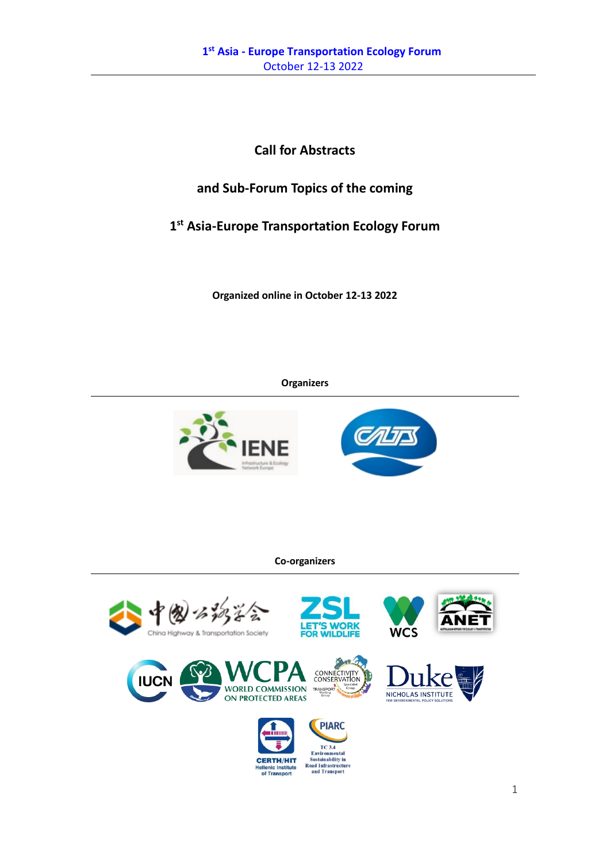**Call for Abstracts** 

# **and Sub-Forum Topics of the coming**

# **1 st Asia-Europe Transportation Ecology Forum**

**Organized online in October 12-13 2022** 

# **Organizers**





# **Co-organizers**

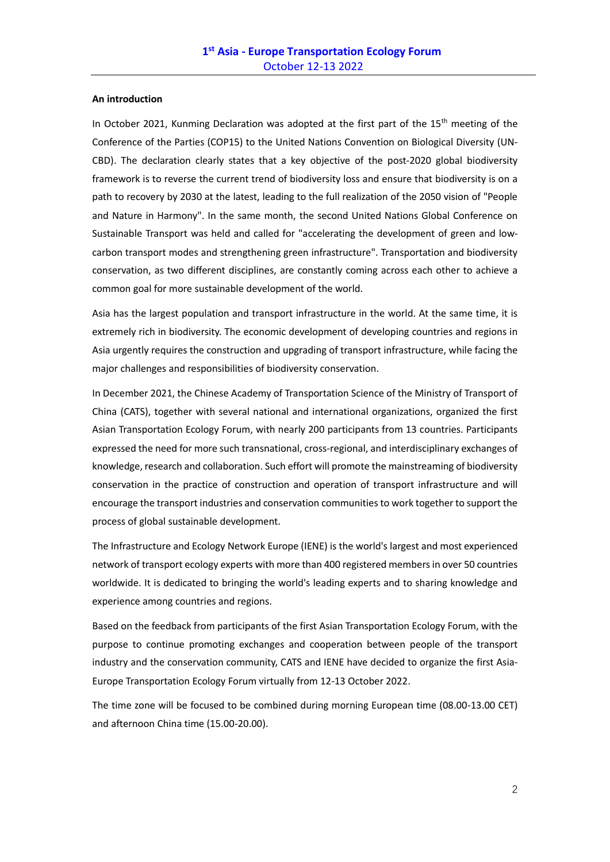#### **An introduction**

In October 2021, Kunming Declaration was adopted at the first part of the 15<sup>th</sup> meeting of the Conference of the Parties (COP15) to the United Nations Convention on Biological Diversity (UN-CBD). The declaration clearly states that a key objective of the post-2020 global biodiversity framework is to reverse the current trend of biodiversity loss and ensure that biodiversity is on a path to recovery by 2030 at the latest, leading to the full realization of the 2050 vision of "People and Nature in Harmony". In the same month, the second United Nations Global Conference on Sustainable Transport was held and called for "accelerating the development of green and lowcarbon transport modes and strengthening green infrastructure". Transportation and biodiversity conservation, as two different disciplines, are constantly coming across each other to achieve a common goal for more sustainable development of the world.

Asia has the largest population and transport infrastructure in the world. At the same time, it is extremely rich in biodiversity. The economic development of developing countries and regions in Asia urgently requires the construction and upgrading of transport infrastructure, while facing the major challenges and responsibilities of biodiversity conservation.

In December 2021, the Chinese Academy of Transportation Science of the Ministry of Transport of China (CATS), together with several national and international organizations, organized the first Asian Transportation Ecology Forum, with nearly 200 participants from 13 countries. Participants expressed the need for more such transnational, cross-regional, and interdisciplinary exchanges of knowledge, research and collaboration. Such effort will promote the mainstreaming of biodiversity conservation in the practice of construction and operation of transport infrastructure and will encourage the transport industries and conservation communities to work together to support the process of global sustainable development.

The Infrastructure and Ecology Network Europe (IENE) is the world's largest and most experienced network of transport ecology experts with more than 400 registered members in over 50 countries worldwide. It is dedicated to bringing the world's leading experts and to sharing knowledge and experience among countries and regions.

Based on the feedback from participants of the first Asian Transportation Ecology Forum, with the purpose to continue promoting exchanges and cooperation between people of the transport industry and the conservation community, CATS and IENE have decided to organize the first Asia-Europe Transportation Ecology Forum virtually from 12-13 October 2022.

The time zone will be focused to be combined during morning European time (08.00-13.00 CET) and afternoon China time (15.00-20.00).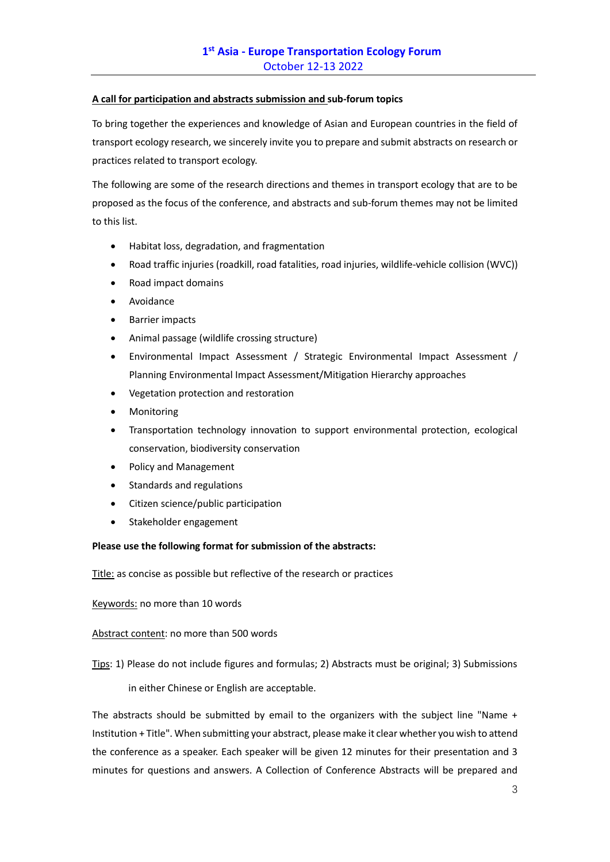## **A call for participation and abstracts submission and sub-forum topics**

To bring together the experiences and knowledge of Asian and European countries in the field of transport ecology research, we sincerely invite you to prepare and submit abstracts on research or practices related to transport ecology.

The following are some of the research directions and themes in transport ecology that are to be proposed as the focus of the conference, and abstracts and sub-forum themes may not be limited to this list.

- Habitat loss, degradation, and fragmentation
- Road traffic injuries (roadkill, road fatalities, road injuries, wildlife-vehicle collision (WVC))
- Road impact domains
- Avoidance
- Barrier impacts
- Animal passage (wildlife crossing structure)
- Environmental Impact Assessment / Strategic Environmental Impact Assessment / Planning Environmental Impact Assessment/Mitigation Hierarchy approaches
- Vegetation protection and restoration
- **Monitoring**
- Transportation technology innovation to support environmental protection, ecological conservation, biodiversity conservation
- Policy and Management
- Standards and regulations
- Citizen science/public participation
- Stakeholder engagement

## **Please use the following format for submission of the abstracts:**

Title: as concise as possible but reflective of the research or practices

Keywords: no more than 10 words

### Abstract content: no more than 500 words

Tips: 1) Please do not include figures and formulas; 2) Abstracts must be original; 3) Submissions

in either Chinese or English are acceptable.

The abstracts should be submitted by email to the organizers with the subject line "Name + Institution + Title". When submitting your abstract, please make it clear whether you wish to attend the conference as a speaker. Each speaker will be given 12 minutes for their presentation and 3 minutes for questions and answers. A Collection of Conference Abstracts will be prepared and